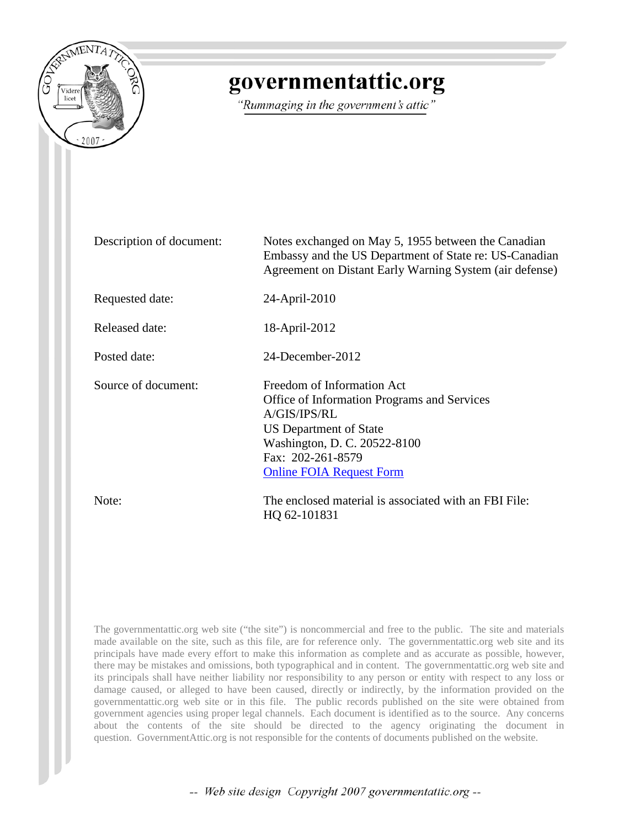

# governmentattic.org

"Rummaging in the government's attic"

| Description of document: | Notes exchanged on May 5, 1955 between the Canadian<br>Embassy and the US Department of State re: US-Canadian<br>Agreement on Distant Early Warning System (air defense)                                    |
|--------------------------|-------------------------------------------------------------------------------------------------------------------------------------------------------------------------------------------------------------|
| Requested date:          | 24-April-2010                                                                                                                                                                                               |
| Released date:           | 18-April-2012                                                                                                                                                                                               |
| Posted date:             | 24-December-2012                                                                                                                                                                                            |
| Source of document:      | Freedom of Information Act<br>Office of Information Programs and Services<br>A/GIS/IPS/RL<br>US Department of State<br>Washington, D. C. 20522-8100<br>Fax: 202-261-8579<br><b>Online FOIA Request Form</b> |
| Note:                    | The enclosed material is associated with an FBI File:<br>HQ 62-101831                                                                                                                                       |

The governmentattic.org web site ("the site") is noncommercial and free to the public. The site and materials made available on the site, such as this file, are for reference only. The governmentattic.org web site and its principals have made every effort to make this information as complete and as accurate as possible, however, there may be mistakes and omissions, both typographical and in content. The governmentattic.org web site and its principals shall have neither liability nor responsibility to any person or entity with respect to any loss or damage caused, or alleged to have been caused, directly or indirectly, by the information provided on the governmentattic.org web site or in this file. The public records published on the site were obtained from government agencies using proper legal channels. Each document is identified as to the source. Any concerns about the contents of the site should be directed to the agency originating the document in question. GovernmentAttic.org is not responsible for the contents of documents published on the website.

-- Web site design Copyright 2007 governmentattic.org --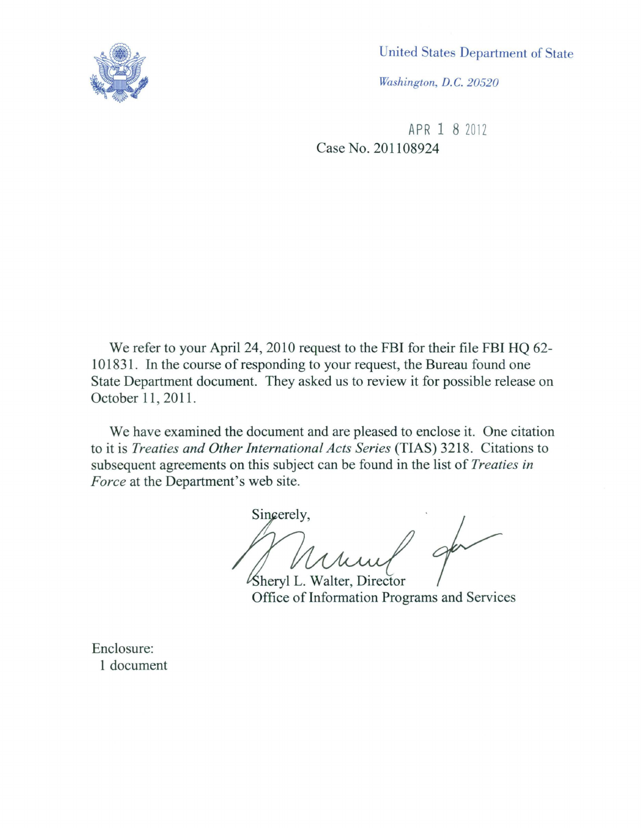

United States Department of State

*Washington, D.* C. *20520* 

APR 1 8 2012 Case No. 201108924

We refer to your April 24, 2010 request to the FBI for their file FBI HQ 62-101831. In the course of responding to your request, the Bureau found one State Department document. They asked us to review it for possible release on October 11, 2011.

We have examined the document and are pleased to enclose it. One citation to it is *Treaties and Other International Acts Series* (TIAS) 3218. Citations to subsequent agreements on this subject can be found in the list of *Treaties in Force* at the Department's web site.

Sincerely,

heryl L. Walter, Director Office of Information Programs and Services

Enclosure: 1 document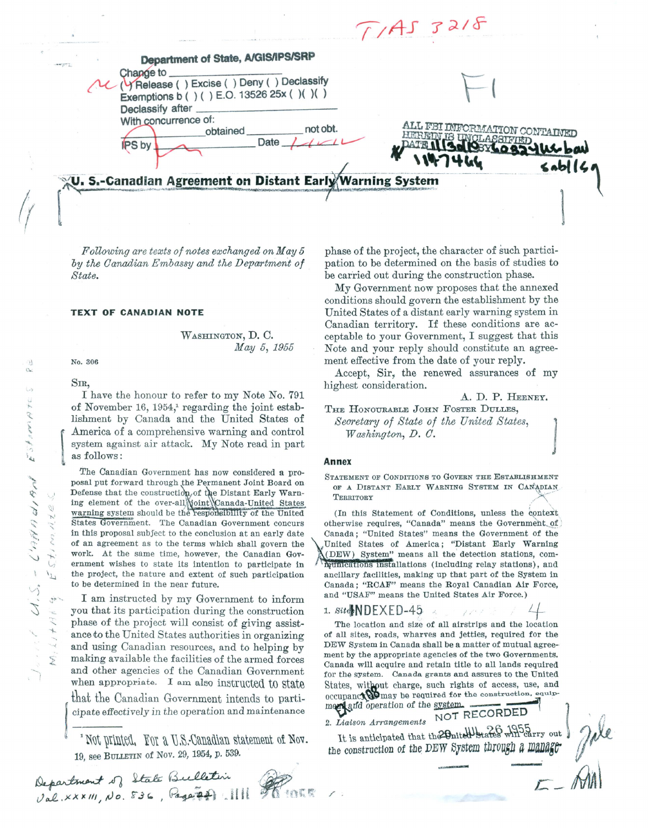$T/AS$   $32/8$ Department of State, A/GIS/IPS/SRP Change to (TRelease () Excise () Deny () Declassify  $\overline{\phantom{a}}$ Exemptions b ( ) ( ) E.O. 13526 25x ( ) ( ) ( ) Declassify after With concurrence of: ALL FBI INFORMATION CONTAINED<br>HEREDY IS INNE ACCONOMIATION not obt. obtained HERRITN **ASSIFIED** Date **PS** by U. S.-Canadian Agreement on Distant Early Warning System  $\left($ 

*Following are texts of notes exchanged on May 5*  by the Canadian Embassy and the Department of *State.* 

# **TEXT OF CANADIAN NOTE**

WASHINGTON, D. C. *May 5, 1955* 

No. 306

S<sub>IR</sub>

I have the honour to refer to my Note No. 791 of November 16, 1954/ regarding the joint establishment by Canada and the United States of I America of a comprehensive warning and control system against air attack. My Note read in part as follows:

The Canadian Government has now considered a proposal put forward through the Permanent Joint Board on Defense that the construction of the Distant Early Warning element of the over-all voint Canada-United States warning system should be the responsibility of the United States Government. The Canadian Government concurs in this proposal subJect to the conclusion at an early date of an agreement as to the terms which shall govern the work. At the same time, however, the Canadian Government wishes to state its intention to participate in the project, the nature and extent of such participation to be determined in the near future.

I am instructed by my Government to inform you that its participation during the construction phase of the project will consist of giving assistance to the United States authorities in organizing and using Canadian resources, and to helping by making available the facilities of the armed forces and other agencies of the Canadian Government when appropriate. I am also instructed to state that the Canadian Government intends to parti-<br>cipate effectively in the operation and maintenance

 $\cdot$  Not printed. For a U.S.-Canadian statement of Nov. 19, see BULLETIN of Nov. 29, 1954, p. 539.

Department of State Bulletin Department 28 sure Page 20 111 phase of the project, the character of such participation to be determined on the basis of studies to be carried out during the construction phase.

My Government now proposes that the annexed conditions should govern the establishment by the United States of a distant early warning system in Canadian territory. If these conditions are acceptable to your Government, I suggest that this Note and your reply should constitute an agreement effective from the date of your reply.

Accept, Sir, the renewed assurances of my highest consideration.

A. D. P. HEENEY.

THE HONOURABLE JOHN FOSTER DULLES,  $W$ *ashington, D. C.*  $S$ ecretary of State of the United States,

#### **Annex**

STATEMENT OF CONDITIONS TO GOVERN THE ESTABLISHMENT OF A DISTANT EARLY WARNING SYSTEM IN CANADIAN  $T$ ERRITORY

(In this Statement of Conditions, unless the context otherwise requires, "Canada" means the Government of Canada; "United States" means the Government of the .United States of America; "Distant Early Warning '(DEW) System" means all the detection stations, com*i* munications installations (including relay stations), and ancillary facilities, making up that part of the System in Canada; "RCAF" means the Royal Canadian Air Force, and "USAF" means the United States Air Force.)

1.  $\text{Sit}_k \setminus \text{DE} \times \text{ED-45}$ 

The location and size of all airstrips and the location of all sites, roads, wharves and jetties, required for the DEW System in Canada shall be a matter of mutual agree-· ment by the appropriate agencies of the two Governments. Canada will acquire and retain title to all lands required for the system. Canada grants and assures to the United States, without charge, such rights of access, use, and  $\alpha$  occupancy  $\mathbf{Q}$  may be required for the construction, equip-

merced and operation of the system. 2. *Liaison Arrangements*  $\overline{S}$  ...  $\overline{S}$  ... ( $\overline{S}$  ... ()

It is anticipated that the 20 nited states will carry out  $\mathcal{H}_{\ell}(\ell)$ the construction of the DEW System through a manage  $\sqrt{11}$ 

me

 $\mathcal{L}$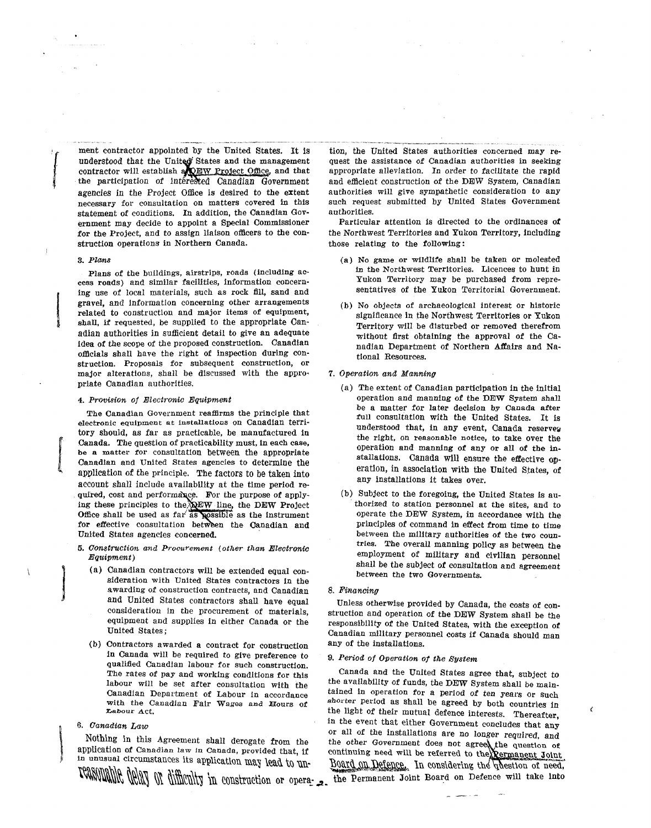*l*  ment contractor appointed by the United States. It is understood that the United States and the management contractor will establish a QEW Project Office, and that the participation of intérested Canadian Government agencies in the Project Office is desired to the extent necessary for consultation on matters covered in this statement of conditions. In addition, the Canadian Government may decide to appoint a Special Commissioner for the Project, and to assign liaison officers to the construction operations in Northern Canada.

#### 3. Plans

*l* 

l

! Plans of the buildings, airstrips, roads (including access roads) and similar facilities, information concerning use of local materials, such as rock fill, sand and gravel, and information concerning other arrangements related to construction and major items of equipment, shall, if requested, be supplied to the appropriate Canadian authorities in sufficient detail to give an adequate idea of the scope of the proposed construction. Canadian officials shall have the right of inspection during construction. Proposals for subsequent construction, or major alterations, shall be discussed with the appropriate Canadian authorities.

#### 4. Provision of Electronic Equipment

The Canadian Government reaffirms the principle that electronic equipment at installations on Canadian territory should, as far as practicable, be manufactured in Canada. The question of practicability must, in each case, be a matter for consultation between the appropriate Canadian and United States agencies to determine the application of the principle. The factors to be taken into account shall include availability at the time period required, cost and performance. For the purpose of applying these principles to the  $\mathbb{R}^{\mathbb{E}W}$  line, the DEW Project Office shall be used as far as possible as the instrument for effective consultation between the Canadian and United States agencies concerned.

- 5. Construction and Procurement (other than Electronic *)* 
	- (a) Canadian contractors will be extended equal consideration with United States contractors in the awarding of construction contracts, and Canadian and United States contractors shall have equal consideration in the procurement of materials, equipment and supplies in either Canada or the United States;
	- (b) Contractors awarded a contract for construction in Canada will be required to give preference to qualified Canadian labour for such construction.

and efficient construction of the DEW System, Canadian authorities will give sympathetic consideration to any such request submitted by United States Government authorities. Particular attention is directed to the ordinances of the Northwest Territories and Yukon Territory, including those relating to the following:

> (a) No game or wildlife shall be taken or molested in the Northwest Territories. Licences to bunt in Yukon Territory may be purchased from representatives of the Yukon Territorial Government.

tion, the United States authorities concerned may request the assistance of Canadian authorities in seeking appropriate alleviation. In order to facilitate the rapid

(b) No objects of archaeological interest or historic significance in the Northwest Territories or Yukon Territory will be disturbed or removed therefrom without first obtaining the approval of the Canadian Department of Northern Affairs and National Resources.

#### 7. Operation and Manning

- (a) The extent of Canadian participation in the initial operation and manning of the DEW System shall be a matter for later decision by Canada after full consultation with the United States. It is understood that, in any event, Canada reservey the right, on reasonable notice, to take over the operation and manning of any or all of the installations. Canada will ensure the effective operation, in association with the United States, of any installations it takes over.
- (b) Subject to the foregoing, the United States is au- . thorized to station personnel at the sites, and to operate the DEW System, in accordance with the principles of command in effect from time to time between the military authorities of the two countries. The overall manning policy as between the employment of military and civilian personnel shall be the subject of consultation and agreement between the two Governments.
- 8. Financing

Unless otherwise provided by Canada, the costs of construction and operation of the DEW System shall be the responsibility of the United States, with the exception of Canadian military personnel costs if Canada should man any of the installations.

# 9. Period of Operation of the System

b. Canadian Law<br>
11. Nothing in this Agreement shall derogate from the the other Government does not agree required, and<br>
11. application of Canadian law in Canada, provided that, if<br>
12. In considering the pressure of nee Canada and the United States agree that, subject to labour will be set after consultation with the the availability of funds, the DEW System shall be main-<br>Canadian Department of Labour in accordance tained in operation for a period of ten years or such Canadian Department of Labour in accordance tained in operation for a period of ten years or such with the Canadian Fair Wages and Hours of shorter period as shall be agreed by both countries in with the Canadian Fair Wages and Hours of shorter period as shall be agreed by both countries in <br>Labour Act. The light of their mutual defence interests. Therefore the light of their mutual defence interests. Thereafter, 6. Canadian Law in the event that either Government concludes that any or all of the installations are no longer required, and<br>Nothing in this Agreement shall derogate from the the other Government does not agreed the question of Agreement shall derogate from the the other Government does not agreed the question of application of Canadian law in Canada, provided that, if continuing need will be referred to the remanent Joint

 $\epsilon$ 

TONNUMING MONT OF difficulty in construction or opera<sub>: -</sub> the Permanent Joint Board on Defence will take into